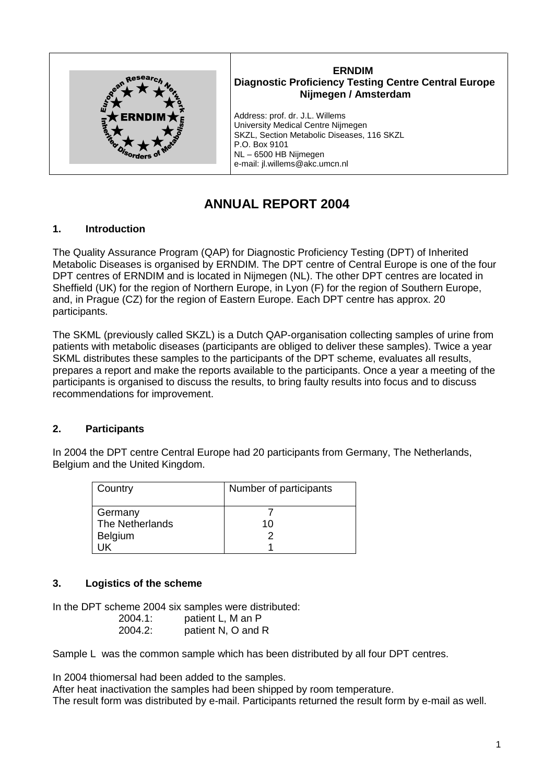

## **ERNDIM Diagnostic Proficiency Testing Centre Central Europe Nijmegen / Amsterdam**

Address: prof. dr. J.L. Willems University Medical Centre Nijmegen SKZL, Section Metabolic Diseases, 116 SKZL P.O. Box 9101 NL – 6500 HB Nijmegen e-mail: jl.willems@akc.umcn.nl

# **ANNUAL REPORT 2004**

# **1. Introduction**

The Quality Assurance Program (QAP) for Diagnostic Proficiency Testing (DPT) of Inherited Metabolic Diseases is organised by ERNDIM. The DPT centre of Central Europe is one of the four DPT centres of ERNDIM and is located in Nijmegen (NL). The other DPT centres are located in Sheffield (UK) for the region of Northern Europe, in Lyon (F) for the region of Southern Europe, and, in Prague (CZ) for the region of Eastern Europe. Each DPT centre has approx. 20 participants.

The SKML (previously called SKZL) is a Dutch QAP-organisation collecting samples of urine from patients with metabolic diseases (participants are obliged to deliver these samples). Twice a year SKML distributes these samples to the participants of the DPT scheme, evaluates all results, prepares a report and make the reports available to the participants. Once a year a meeting of the participants is organised to discuss the results, to bring faulty results into focus and to discuss recommendations for improvement.

# **2. Participants**

In 2004 the DPT centre Central Europe had 20 participants from Germany, The Netherlands, Belgium and the United Kingdom.

| Country         | Number of participants |
|-----------------|------------------------|
| Germany         |                        |
| The Netherlands | 10                     |
| Belgium         |                        |
|                 |                        |

# **3. Logistics of the scheme**

In the DPT scheme 2004 six samples were distributed: 2004.1: patient L, M an P 2004.2: patient N, O and R

Sample L was the common sample which has been distributed by all four DPT centres.

In 2004 thiomersal had been added to the samples.

After heat inactivation the samples had been shipped by room temperature. The result form was distributed by e-mail. Participants returned the result form by e-mail as well.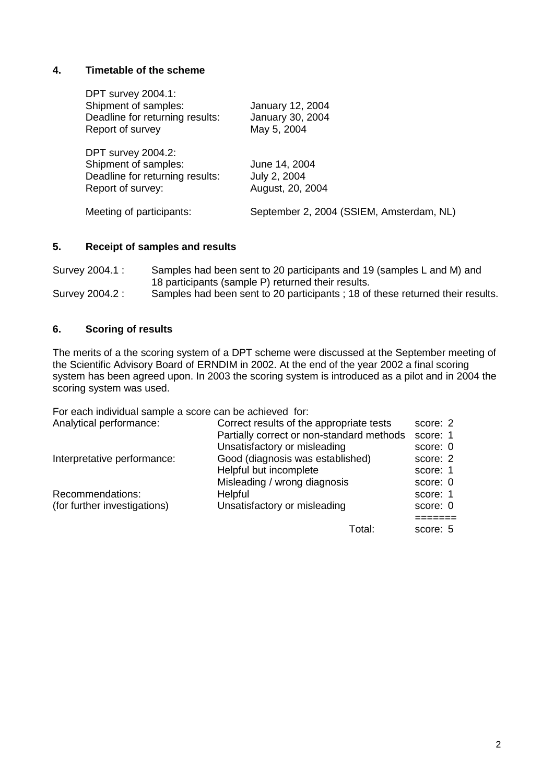## **4. Timetable of the scheme**

| <b>DPT survey 2004.1:</b><br>Shipment of samples:<br>Deadline for returning results:<br>Report of survey  | January 12, 2004<br>January 30, 2004<br>May 5, 2004 |
|-----------------------------------------------------------------------------------------------------------|-----------------------------------------------------|
| <b>DPT survey 2004.2:</b><br>Shipment of samples:<br>Deadline for returning results:<br>Report of survey: | June 14, 2004<br>July 2, 2004<br>August, 20, 2004   |
| Meeting of participants:                                                                                  | September 2, 2004 (SSIEM, Amsterdam, NL)            |

#### **5. Receipt of samples and results**

| Survey 2004.1 : | Samples had been sent to 20 participants and 19 (samples L and M) and         |
|-----------------|-------------------------------------------------------------------------------|
|                 | 18 participants (sample P) returned their results.                            |
| Survey 2004.2 : | Samples had been sent to 20 participants; 18 of these returned their results. |

## **6. Scoring of results**

The merits of a the scoring system of a DPT scheme were discussed at the September meeting of the Scientific Advisory Board of ERNDIM in 2002. At the end of the year 2002 a final scoring system has been agreed upon. In 2003 the scoring system is introduced as a pilot and in 2004 the scoring system was used.

For each individual sample a score can be achieved for:

| Analytical performance:      | Correct results of the appropriate tests  | score: 2 |
|------------------------------|-------------------------------------------|----------|
|                              | Partially correct or non-standard methods | score: 1 |
|                              | Unsatisfactory or misleading              | score: 0 |
| Interpretative performance:  | Good (diagnosis was established)          | score: 2 |
|                              | Helpful but incomplete                    | score: 1 |
|                              | Misleading / wrong diagnosis              | score: 0 |
| Recommendations:             | Helpful                                   | score: 1 |
| (for further investigations) | Unsatisfactory or misleading              | score: 0 |
|                              |                                           |          |

Total: score: 5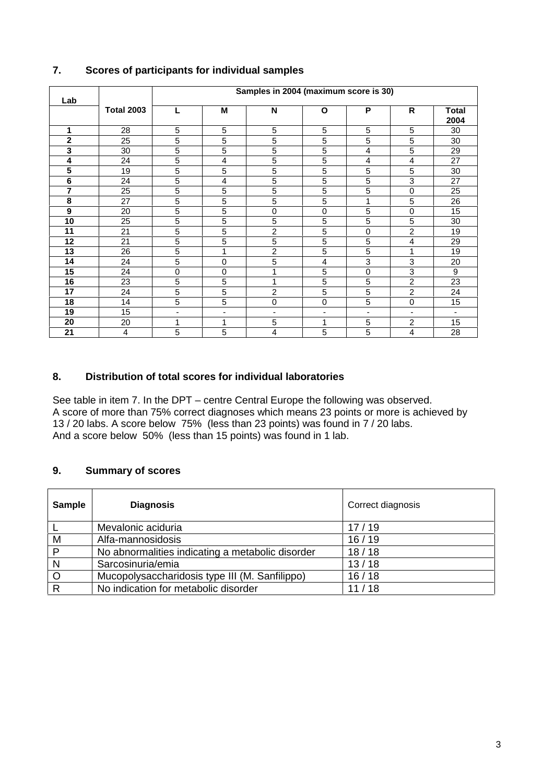| Lab            | Samples in 2004 (maximum score is 30) |   |   |                |             |   |                |                      |
|----------------|---------------------------------------|---|---|----------------|-------------|---|----------------|----------------------|
|                | <b>Total 2003</b>                     | L | M | N              | O           | P | R              | <b>Total</b><br>2004 |
| 1              | 28                                    | 5 | 5 | 5              | 5           | 5 | 5              | 30                   |
| $\overline{2}$ | 25                                    | 5 | 5 | 5              | 5           | 5 | 5              | 30                   |
| 3              | 30                                    | 5 | 5 | 5              | 5           | 4 | 5              | 29                   |
| 4              | 24                                    | 5 | 4 | 5              | 5           | 4 | 4              | 27                   |
| 5              | 19                                    | 5 | 5 | 5              | 5           | 5 | 5              | 30                   |
| 6              | 24                                    | 5 | 4 | 5              | 5           | 5 | 3              | 27                   |
| 7              | 25                                    | 5 | 5 | 5              | 5           | 5 | 0              | 25                   |
| 8              | 27                                    | 5 | 5 | 5              | 5           | 1 | 5              | 26                   |
| 9              | 20                                    | 5 | 5 | 0              | $\mathbf 0$ | 5 | 0              | 15                   |
| 10             | 25                                    | 5 | 5 | 5              | $\sqrt{5}$  | 5 | 5              | 30                   |
| 11             | 21                                    | 5 | 5 | $\overline{c}$ | 5           | 0 | 2              | 19                   |
| 12             | 21                                    | 5 | 5 | 5              | 5           | 5 | 4              | 29                   |
| 13             | 26                                    | 5 |   | $\overline{2}$ | 5           | 5 | 1              | 19                   |
| 14             | 24                                    | 5 | 0 | 5              | 4           | 3 | 3              | 20                   |
| 15             | 24                                    | 0 | 0 |                | 5           | 0 | 3              | 9                    |
| 16             | 23                                    | 5 | 5 | 1              | 5           | 5 | $\overline{2}$ | 23                   |
| 17             | 24                                    | 5 | 5 | 2              | $\sqrt{5}$  | 5 | $\overline{2}$ | 24                   |
| 18             | 14                                    | 5 | 5 | 0              | $\mathbf 0$ | 5 | $\mathbf 0$    | 15                   |
| 19             | 15                                    | ٠ | ۰ | ٠              | ٠           |   | $\blacksquare$ |                      |
| 20             | 20                                    | 1 | 1 | 5              | 1           | 5 | 2              | 15                   |
| 21             | 4                                     | 5 | 5 | 4              | 5           | 5 | 4              | 28                   |

# **7. Scores of participants for individual samples**

# **8. Distribution of total scores for individual laboratories**

See table in item 7. In the DPT – centre Central Europe the following was observed. A score of more than 75% correct diagnoses which means 23 points or more is achieved by 13 / 20 labs. A score below 75% (less than 23 points) was found in 7 / 20 labs. And a score below 50% (less than 15 points) was found in 1 lab.

# **9. Summary of scores**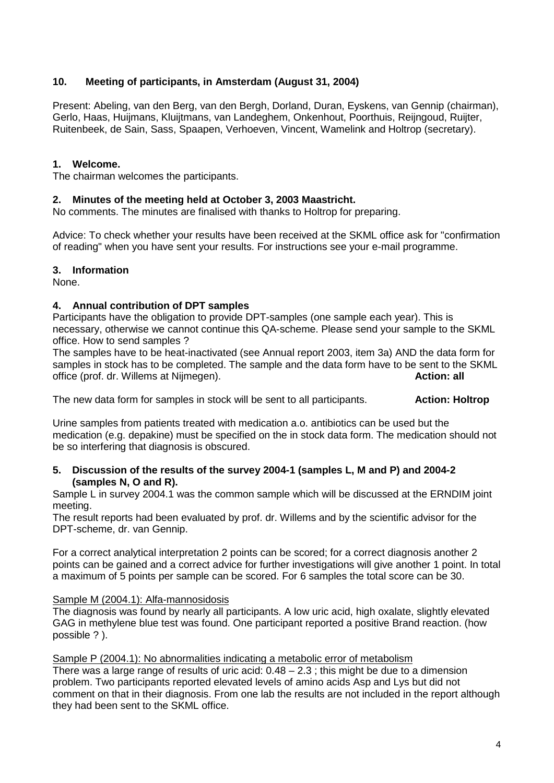# **10. Meeting of participants, in Amsterdam (August 31, 2004)**

Present: Abeling, van den Berg, van den Bergh, Dorland, Duran, Eyskens, van Gennip (chairman), Gerlo, Haas, Huijmans, Kluijtmans, van Landeghem, Onkenhout, Poorthuis, Reijngoud, Ruijter, Ruitenbeek, de Sain, Sass, Spaapen, Verhoeven, Vincent, Wamelink and Holtrop (secretary).

#### **1. Welcome.**

The chairman welcomes the participants.

#### **2. Minutes of the meeting held at October 3, 2003 Maastricht.**

No comments. The minutes are finalised with thanks to Holtrop for preparing.

Advice: To check whether your results have been received at the SKML office ask for "confirmation of reading" when you have sent your results. For instructions see your e-mail programme.

## **3. Information**

None.

## **4. Annual contribution of DPT samples**

Participants have the obligation to provide DPT-samples (one sample each year). This is necessary, otherwise we cannot continue this QA-scheme. Please send your sample to the SKML office. How to send samples ?

The samples have to be heat-inactivated (see Annual report 2003, item 3a) AND the data form for samples in stock has to be completed. The sample and the data form have to be sent to the SKML office (prof. dr. Willems at Nijmegen). **Action: all**

The new data form for samples in stock will be sent to all participants. **Action: Holtrop**

Urine samples from patients treated with medication a.o. antibiotics can be used but the medication (e.g. depakine) must be specified on the in stock data form. The medication should not be so interfering that diagnosis is obscured.

#### **5. Discussion of the results of the survey 2004-1 (samples L, M and P) and 2004-2 (samples N, O and R).**

Sample L in survey 2004.1 was the common sample which will be discussed at the ERNDIM joint meeting.

The result reports had been evaluated by prof. dr. Willems and by the scientific advisor for the DPT-scheme, dr. van Gennip.

For a correct analytical interpretation 2 points can be scored; for a correct diagnosis another 2 points can be gained and a correct advice for further investigations will give another 1 point. In total a maximum of 5 points per sample can be scored. For 6 samples the total score can be 30.

#### Sample M (2004.1): Alfa-mannosidosis

The diagnosis was found by nearly all participants. A low uric acid, high oxalate, slightly elevated GAG in methylene blue test was found. One participant reported a positive Brand reaction. (how possible ? ).

#### Sample P (2004.1): No abnormalities indicating a metabolic error of metabolism

There was a large range of results of uric acid:  $0.48 - 2.3$  ; this might be due to a dimension problem. Two participants reported elevated levels of amino acids Asp and Lys but did not comment on that in their diagnosis. From one lab the results are not included in the report although they had been sent to the SKML office.